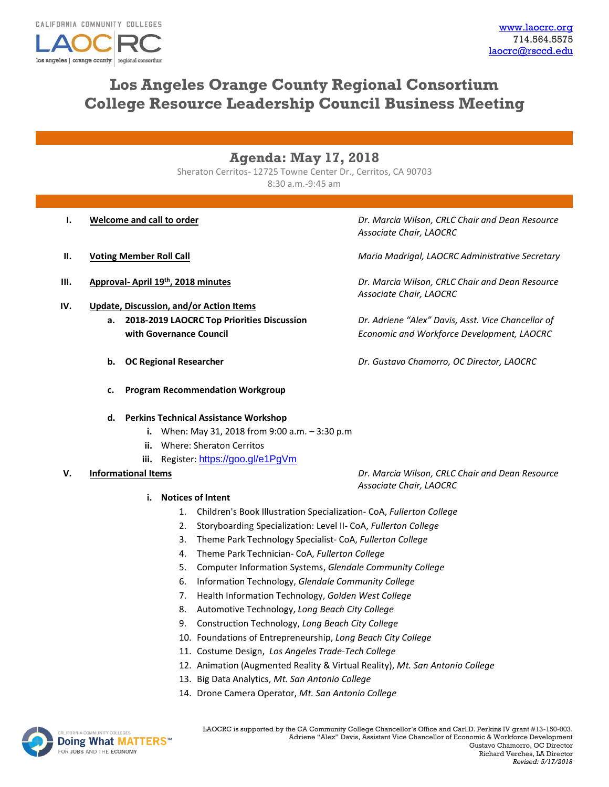los angeles | orange county

# **Los Angeles Orange County Regional Consortium College Resource Leadership Council Business Meeting**

## **Agenda: May 17, 2018**

Sheraton Cerritos- 12725 Towne Center Dr., Cerritos, CA 90703 8:30 a.m.-9:45 am

regional consortius

- 
- 
- **IV. Update, Discussion, and/or Action Items**
	- **a. 2018-2019 LAOCRC Top Priorities Discussion** *Dr. Adriene "Alex" Davis, Asst. Vice Chancellor of*
	-
	- **c. Program Recommendation Workgroup**

**d. Perkins Technical Assistance Workshop**

- **i.** When: May 31, 2018 from 9:00 a.m. 3:30 p.m
- **ii.** Where: Sheraton Cerritos
- iii. Register: <https://goo.gl/e1PgVm>

### **V. Informational Items** *Dr. Marcia Wilson, CRLC Chair and Dean Resource*

### **i. Notices of Intent**

- 1. Children's Book Illustration Specialization- CoA, *Fullerton College*
- 2. Storyboarding Specialization: Level II- CoA, *Fullerton College*
- 3. Theme Park Technology Specialist- CoA, *Fullerton College*
- 4. Theme Park Technician- CoA, *Fullerton College*
- 5. Computer Information Systems, *Glendale Community College*
- 6. Information Technology, *Glendale Community College*
- 7. Health Information Technology, *Golden West College*
- 8. Automotive Technology, *Long Beach City College*
- 9. Construction Technology, *Long Beach City College*
- 10. Foundations of Entrepreneurship, *Long Beach City College*
- 11. Costume Design, *Los Angeles Trade-Tech College*
- 12. Animation (Augmented Reality & Virtual Reality), *Mt. San Antonio College*
- 13. Big Data Analytics, *Mt. San Antonio College*
- 14. Drone Camera Operator, *Mt. San Antonio College*



**I. Welcome and call to order** *Dr. Marcia Wilson, CRLC Chair and Dean Resource Associate Chair, LAOCRC*

**II. Voting Member Roll Call** *Maria Madrigal, LAOCRC Administrative Secretary*

**III. Approval- April 19th, 2018 minutes** *Dr. Marcia Wilson, CRLC Chair and Dean Resource Associate Chair, LAOCRC*

**with Governance Council** *Economic and Workforce Development, LAOCRC*

**b. OC Regional Researcher** *Dr. Gustavo Chamorro, OC Director, LAOCRC*

*Associate Chair, LAOCRC*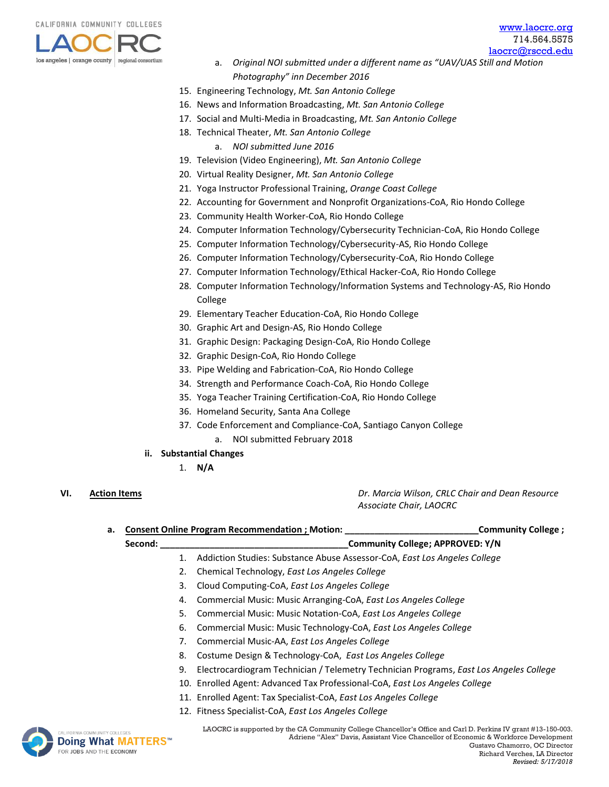

[www.laocrc.org](file://///rsccd.org/scccr/Department%20Directories/Career%20Education%20shared%20folder/Grants/Regional%20Consortia/Meetings/LAOCRC/www.laocrc.org) 714.564.5575

- [laocrc@rsccd.edu](mailto:laocrc@rsccd.edu) a. *Original NOI submitted under a different name as "UAV/UAS Still and Motion Photography" inn December 2016*
- 15. Engineering Technology, *Mt. San Antonio College*
- 16. News and Information Broadcasting, *Mt. San Antonio College*
- 17. Social and Multi-Media in Broadcasting, *Mt. San Antonio College*
- 18. Technical Theater, *Mt. San Antonio College*
	- a. *NOI submitted June 2016*
- 19. Television (Video Engineering), *Mt. San Antonio College*
- 20. Virtual Reality Designer, *Mt. San Antonio College*
- 21. Yoga Instructor Professional Training, *Orange Coast College*
- 22. Accounting for Government and Nonprofit Organizations-CoA, Rio Hondo College
- 23. Community Health Worker-CoA, Rio Hondo College
- 24. Computer Information Technology/Cybersecurity Technician-CoA, Rio Hondo College
- 25. Computer Information Technology/Cybersecurity-AS, Rio Hondo College
- 26. Computer Information Technology/Cybersecurity-CoA, Rio Hondo College
- 27. Computer Information Technology/Ethical Hacker-CoA, Rio Hondo College
- 28. Computer Information Technology/Information Systems and Technology-AS, Rio Hondo College
- 29. Elementary Teacher Education-CoA, Rio Hondo College
- 30. Graphic Art and Design-AS, Rio Hondo College
- 31. Graphic Design: Packaging Design-CoA, Rio Hondo College
- 32. Graphic Design-CoA, Rio Hondo College
- 33. Pipe Welding and Fabrication-CoA, Rio Hondo College
- 34. Strength and Performance Coach-CoA, Rio Hondo College
- 35. Yoga Teacher Training Certification-CoA, Rio Hondo College
- 36. Homeland Security, Santa Ana College
- 37. Code Enforcement and Compliance-CoA, Santiago Canyon College
	- a. NOI submitted February 2018
- **ii. Substantial Changes** 
	- 1. **N/A**
- 

**VI. Action Items** *Dr. Marcia Wilson, CRLC Chair and Dean Resource Associate Chair, LAOCRC*

| а.                       |    | Consent Online Program Recommendation ; Motion:                                                               |                                                                                     | Community College; |
|--------------------------|----|---------------------------------------------------------------------------------------------------------------|-------------------------------------------------------------------------------------|--------------------|
| Second:                  |    |                                                                                                               | Community College; APPROVED: Y/N                                                    |                    |
|                          | 1. | Addiction Studies: Substance Abuse Assessor-CoA, East Los Angeles College                                     |                                                                                     |                    |
|                          | 2. | Chemical Technology, East Los Angeles College                                                                 |                                                                                     |                    |
|                          | 3. | Cloud Computing-CoA, East Los Angeles College                                                                 |                                                                                     |                    |
|                          | 4. | Commercial Music: Music Arranging-CoA, East Los Angeles College                                               |                                                                                     |                    |
|                          | 5. | Commercial Music: Music Notation-CoA, East Los Angeles College                                                |                                                                                     |                    |
|                          | 6. | Commercial Music: Music Technology-CoA, East Los Angeles College                                              |                                                                                     |                    |
|                          | 7. | Commercial Music-AA, East Los Angeles College                                                                 |                                                                                     |                    |
|                          | 8. | Costume Design & Technology-CoA, East Los Angeles College                                                     |                                                                                     |                    |
|                          | 9. | Electrocardiogram Technician / Telemetry Technician Programs, East Los Angeles College                        |                                                                                     |                    |
|                          |    | 10. Enrolled Agent: Advanced Tax Professional-CoA, East Los Angeles College                                   |                                                                                     |                    |
|                          |    | 11. Enrolled Agent: Tax Specialist-CoA, East Los Angeles College                                              |                                                                                     |                    |
|                          |    | 12. Fitness Specialist-CoA, East Los Angeles College                                                          |                                                                                     |                    |
| COLLEGES<br>.L BAATTFDOM |    | LAOCRC is supported by the CA Community College Chancellor's Office and Carl D. Perkins IV grant #13-150-003. | Adriene "Alex" Davis, Assistant Vice Chancellor of Economic & Workforce Development |                    |

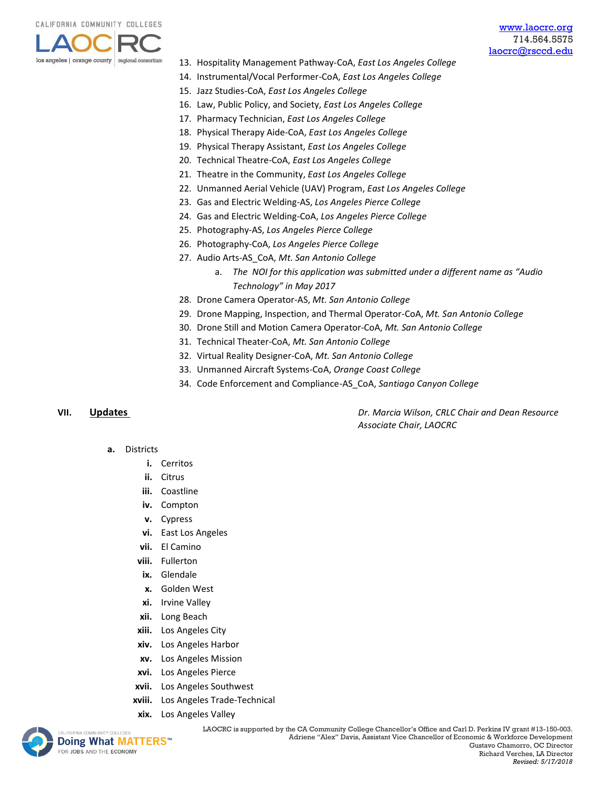

- 13. Hospitality Management Pathway-CoA, *East Los Angeles College*
- 14. Instrumental/Vocal Performer-CoA, *East Los Angeles College*
- 15. Jazz Studies-CoA, *East Los Angeles College*
- 16. Law, Public Policy, and Society, *East Los Angeles College*
- 17. Pharmacy Technician, *East Los Angeles College*
- 18. Physical Therapy Aide-CoA, *East Los Angeles College*
- 19. Physical Therapy Assistant, *East Los Angeles College*
- 20. Technical Theatre-CoA, *East Los Angeles College*
- 21. Theatre in the Community, *East Los Angeles College*
- 22. Unmanned Aerial Vehicle (UAV) Program, *East Los Angeles College*
- 23. Gas and Electric Welding-AS, *Los Angeles Pierce College*
- 24. Gas and Electric Welding-CoA, *Los Angeles Pierce College*
- 25. Photography-AS, *Los Angeles Pierce College*
- 26. Photography-CoA, *Los Angeles Pierce College*
- 27. Audio Arts-AS\_CoA, *Mt. San Antonio College*
	- a. *The NOI for this application was submitted under a different name as "Audio Technology" in May 2017*
- 28. Drone Camera Operator-AS, *Mt. San Antonio College*
- 29. Drone Mapping, Inspection, and Thermal Operator-CoA, *Mt. San Antonio College*
- 30. Drone Still and Motion Camera Operator-CoA, *Mt. San Antonio College*
- 31. Technical Theater-CoA, *Mt. San Antonio College*
- 32. Virtual Reality Designer-CoA, *Mt. San Antonio College*
- 33. Unmanned Aircraft Systems-CoA, *Orange Coast College*
- 34. Code Enforcement and Compliance-AS\_CoA, *Santiago Canyon College*

**VII. Updates** *Dr. Marcia Wilson, CRLC Chair and Dean Resource Associate Chair, LAOCRC*

- **a.** Districts
	- **i.** Cerritos
	- **ii.** Citrus
	- **iii.** Coastline
	- **iv.** Compton
	- **v.** Cypress
	- **vi.** East Los Angeles
	- **vii.** El Camino
	- **viii.** Fullerton
	- **ix.** Glendale
	- **x.** Golden West
	- **xi.** Irvine Valley
	- **xii.** Long Beach
	- **xiii.** Los Angeles City
	- **xiv.** Los Angeles Harbor
	- **xv.** Los Angeles Mission
	- **xvi.** Los Angeles Pierce
	- **xvii.** Los Angeles Southwest
	- **xviii.** Los Angeles Trade-Technical
	- **xix.** Los Angeles Valley